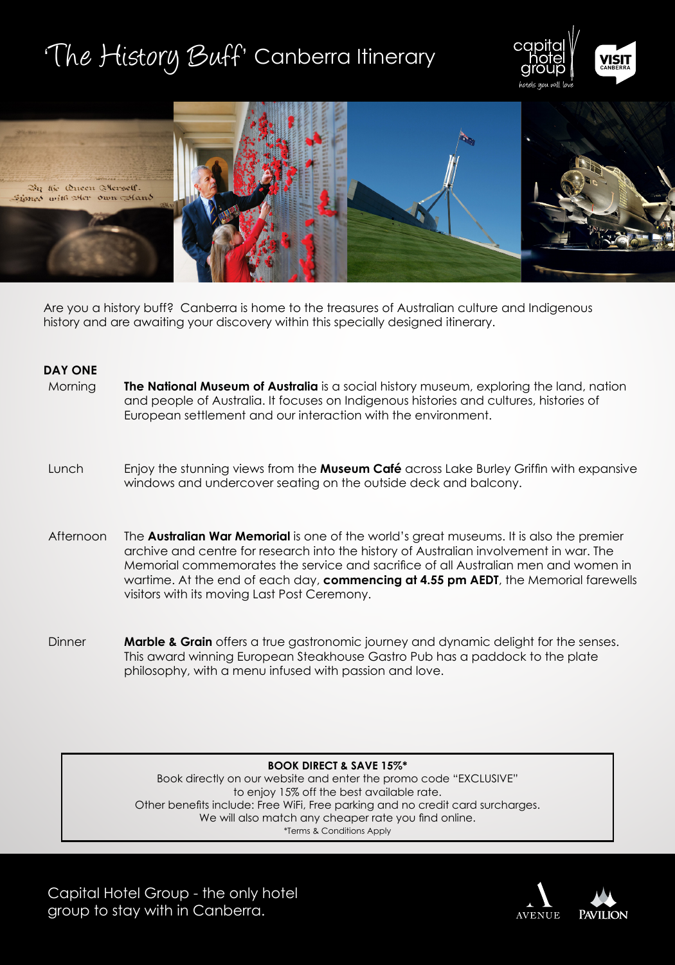# 'The History Buff' Canberra Itinerary





Are you a history buff? Canberra is home to the treasures of Australian culture and Indigenous history and are awaiting your discovery within this specially designed itinerary.

### **DAY ONE**

- Morning **The National Museum of Australia** is a social history museum, exploring the land, nation and people of Australia. It focuses on Indigenous histories and cultures, histories of European settlement and our interaction with the environment.
- Lunch Enjoy the stunning views from the **Museum Café** across Lake Burley Griffin with expansive windows and undercover seating on the outside deck and balcony.
- Afternoon The **Australian War Memorial** is one of the world's great museums. It is also the premier archive and centre for research into the history of Australian involvement in war. The Memorial commemorates the service and sacrifice of all Australian men and women in wartime. At the end of each day, **commencing at 4.55 pm AEDT**, the Memorial farewells visitors with its moving Last Post Ceremony.
- Dinner **Marble & Grain** offers a true gastronomic journey and dynamic delight for the senses. This award winning European Steakhouse Gastro Pub has a paddock to the plate philosophy, with a menu infused with passion and love.

**BOOK DIRECT & SAVE 15%\***

Book directly on our website and enter the promo code "EXCLUSIVE" to enjoy 15% off the best available rate. Other benefits include: Free WiFi, Free parking and no credit card surcharges. We will also match any cheaper rate you find online. \*Terms & Conditions Apply

Capital Hotel Group - the only hotel group to stay with in Canberra.